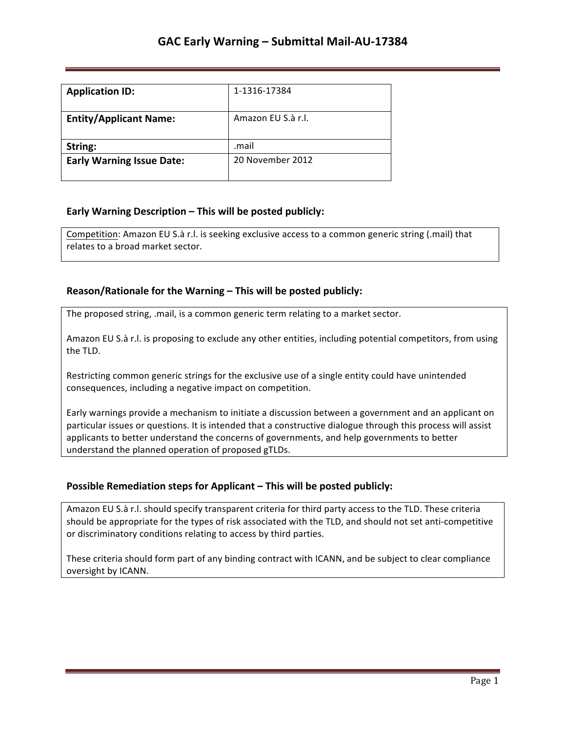| <b>Application ID:</b>           | 1-1316-17384       |
|----------------------------------|--------------------|
| <b>Entity/Applicant Name:</b>    | Amazon EU S.à r.l. |
| String:                          | .mail              |
| <b>Early Warning Issue Date:</b> | 20 November 2012   |

## **Early Warning Description – This will be posted publicly:**

Competition: Amazon EU S.à r.l. is seeking exclusive access to a common generic string (.mail) that relates to a broad market sector.

### **Reason/Rationale for the Warning – This will be posted publicly:**

The proposed string, .mail, is a common generic term relating to a market sector.

Amazon EU S.à r.l. is proposing to exclude any other entities, including potential competitors, from using the TLD.

Restricting common generic strings for the exclusive use of a single entity could have unintended consequences, including a negative impact on competition.

Early warnings provide a mechanism to initiate a discussion between a government and an applicant on particular issues or questions. It is intended that a constructive dialogue through this process will assist applicants to better understand the concerns of governments, and help governments to better understand the planned operation of proposed gTLDs.

### **Possible Remediation steps for Applicant – This will be posted publicly:**

Amazon EU S.à r.l. should specify transparent criteria for third party access to the TLD. These criteria should be appropriate for the types of risk associated with the TLD, and should not set anti-competitive or discriminatory conditions relating to access by third parties.

These criteria should form part of any binding contract with ICANN, and be subject to clear compliance oversight by ICANN.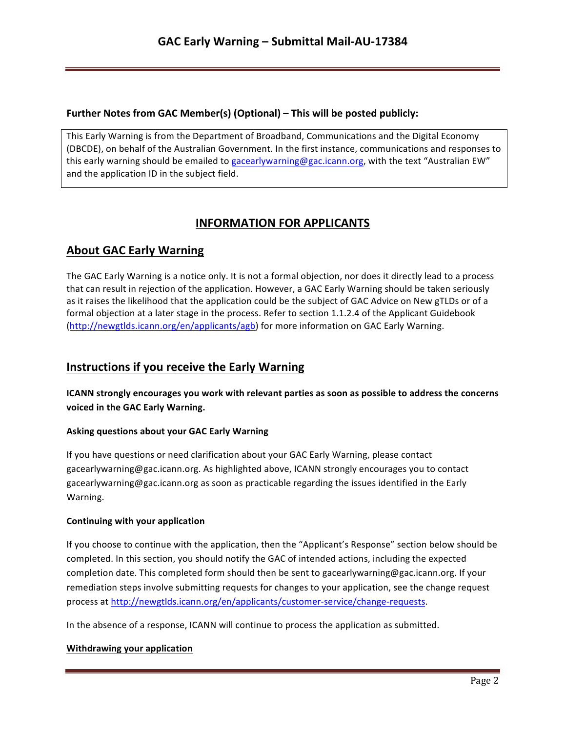### **Further Notes from GAC Member(s) (Optional) – This will be posted publicly:**

This Early Warning is from the Department of Broadband, Communications and the Digital Economy (DBCDE), on behalf of the Australian Government. In the first instance, communications and responses to this early warning should be emailed to gacearlywarning@gac.icann.org, with the text "Australian EW" and the application ID in the subject field.

# **INFORMATION FOR APPLICANTS**

# **About GAC Early Warning**

The GAC Early Warning is a notice only. It is not a formal objection, nor does it directly lead to a process that can result in rejection of the application. However, a GAC Early Warning should be taken seriously as it raises the likelihood that the application could be the subject of GAC Advice on New gTLDs or of a formal objection at a later stage in the process. Refer to section 1.1.2.4 of the Applicant Guidebook (http://newgtlds.icann.org/en/applicants/agb) for more information on GAC Early Warning.

## **Instructions if you receive the Early Warning**

**ICANN** strongly encourages you work with relevant parties as soon as possible to address the concerns voiced in the GAC Early Warning.

### **Asking questions about your GAC Early Warning**

If you have questions or need clarification about your GAC Early Warning, please contact gacearlywarning@gac.icann.org. As highlighted above, ICANN strongly encourages you to contact gacearlywarning@gac.icann.org as soon as practicable regarding the issues identified in the Early Warning. 

### **Continuing with your application**

If you choose to continue with the application, then the "Applicant's Response" section below should be completed. In this section, you should notify the GAC of intended actions, including the expected completion date. This completed form should then be sent to gacearlywarning@gac.icann.org. If your remediation steps involve submitting requests for changes to your application, see the change request process at http://newgtlds.icann.org/en/applicants/customer-service/change-requests.

In the absence of a response, ICANN will continue to process the application as submitted.

### **Withdrawing your application**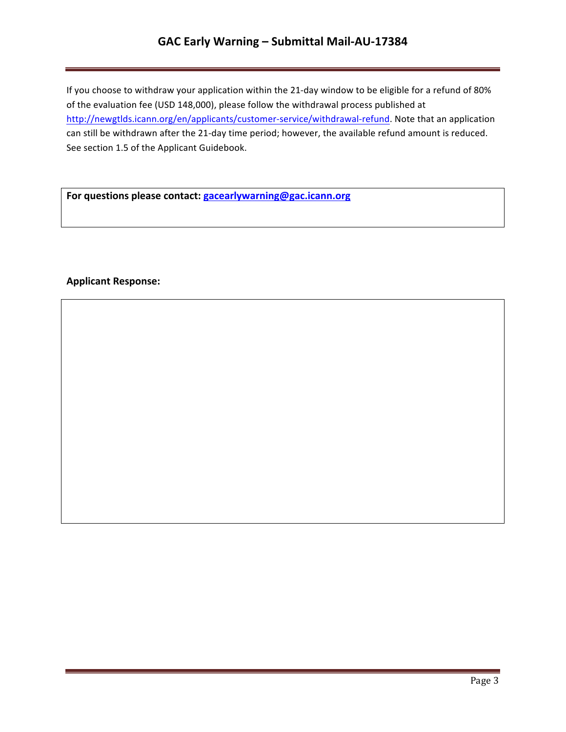# **GAC Early Warning – Submittal Mail-AU-17384**

If you choose to withdraw your application within the 21-day window to be eligible for a refund of 80% of the evaluation fee (USD 148,000), please follow the withdrawal process published at http://newgtlds.icann.org/en/applicants/customer-service/withdrawal-refund. Note that an application can still be withdrawn after the 21-day time period; however, the available refund amount is reduced. See section 1.5 of the Applicant Guidebook.

For questions please contact: **gacearlywarning@gac.icann.org** 

### **Applicant Response:**